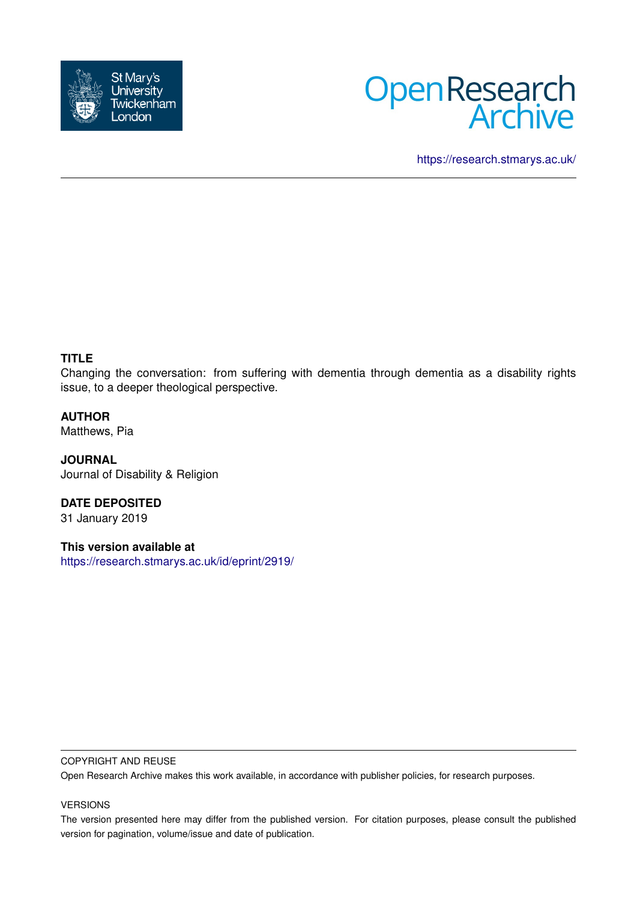



<https://research.stmarys.ac.uk/>

# **TITLE**

Changing the conversation: from suffering with dementia through dementia as a disability rights issue, to a deeper theological perspective.

**AUTHOR**

Matthews, Pia

**JOURNAL** Journal of Disability & Religion

**DATE DEPOSITED** 31 January 2019

**This version available at** <https://research.stmarys.ac.uk/id/eprint/2919/>

### COPYRIGHT AND REUSE

Open Research Archive makes this work available, in accordance with publisher policies, for research purposes.

## VERSIONS

The version presented here may differ from the published version. For citation purposes, please consult the published version for pagination, volume/issue and date of publication.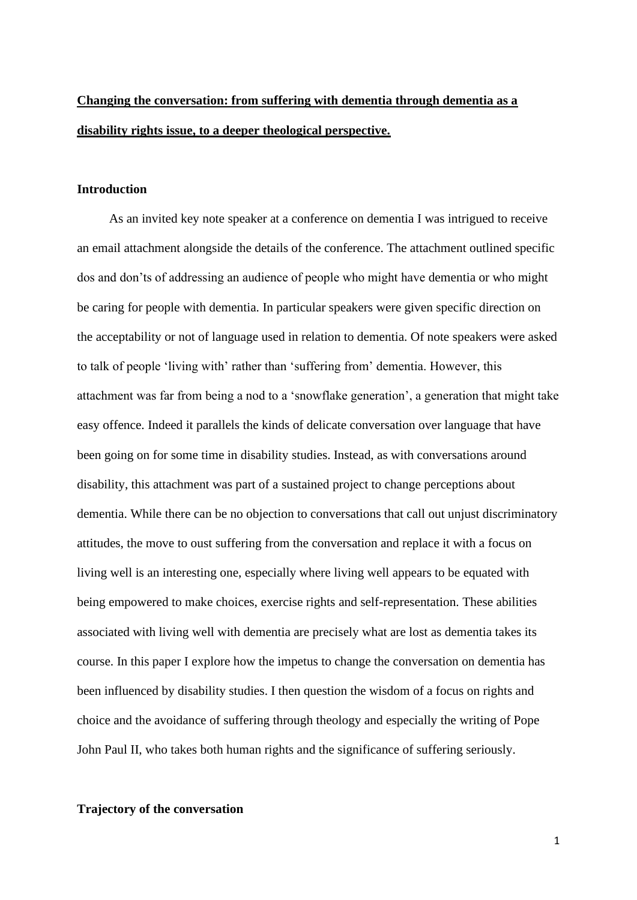# **Changing the conversation: from suffering with dementia through dementia as a disability rights issue, to a deeper theological perspective.**

## **Introduction**

 As an invited key note speaker at a conference on dementia I was intrigued to receive an email attachment alongside the details of the conference. The attachment outlined specific dos and don'ts of addressing an audience of people who might have dementia or who might be caring for people with dementia. In particular speakers were given specific direction on the acceptability or not of language used in relation to dementia. Of note speakers were asked to talk of people 'living with' rather than 'suffering from' dementia. However, this attachment was far from being a nod to a 'snowflake generation', a generation that might take easy offence. Indeed it parallels the kinds of delicate conversation over language that have been going on for some time in disability studies. Instead, as with conversations around disability, this attachment was part of a sustained project to change perceptions about dementia. While there can be no objection to conversations that call out unjust discriminatory attitudes, the move to oust suffering from the conversation and replace it with a focus on living well is an interesting one, especially where living well appears to be equated with being empowered to make choices, exercise rights and self-representation. These abilities associated with living well with dementia are precisely what are lost as dementia takes its course. In this paper I explore how the impetus to change the conversation on dementia has been influenced by disability studies. I then question the wisdom of a focus on rights and choice and the avoidance of suffering through theology and especially the writing of Pope John Paul II, who takes both human rights and the significance of suffering seriously.

#### **Trajectory of the conversation**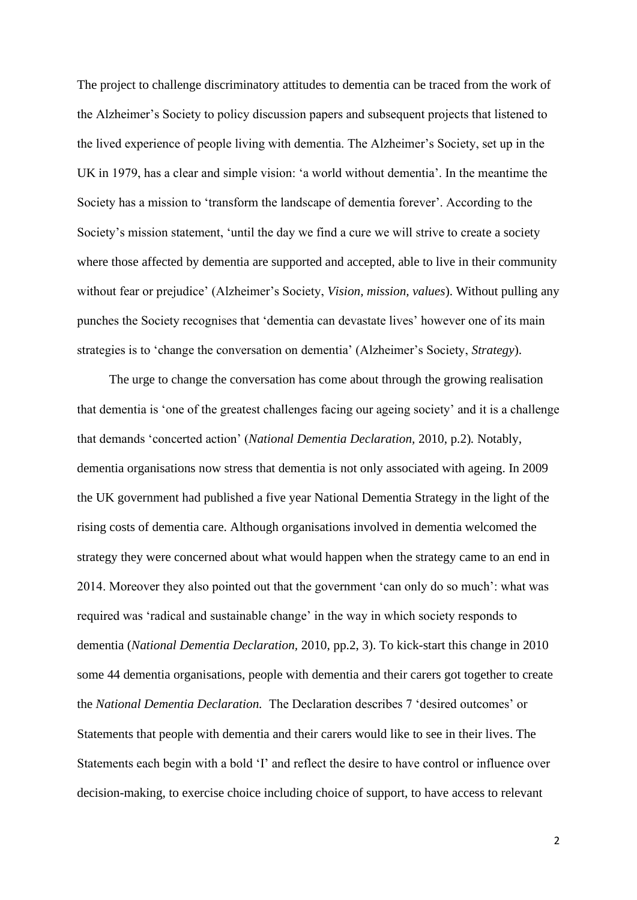The project to challenge discriminatory attitudes to dementia can be traced from the work of the Alzheimer's Society to policy discussion papers and subsequent projects that listened to the lived experience of people living with dementia. The Alzheimer's Society, set up in the UK in 1979, has a clear and simple vision: 'a world without dementia'. In the meantime the Society has a mission to 'transform the landscape of dementia forever'. According to the Society's mission statement, 'until the day we find a cure we will strive to create a society where those affected by dementia are supported and accepted, able to live in their community without fear or prejudice' (Alzheimer's Society, *Vision, mission, values*). Without pulling any punches the Society recognises that 'dementia can devastate lives' however one of its main strategies is to 'change the conversation on dementia' (Alzheimer's Society, *Strategy*).

 The urge to change the conversation has come about through the growing realisation that dementia is 'one of the greatest challenges facing our ageing society' and it is a challenge that demands 'concerted action' (*National Dementia Declaration,* 2010, p.2)*.* Notably, dementia organisations now stress that dementia is not only associated with ageing. In 2009 the UK government had published a five year National Dementia Strategy in the light of the rising costs of dementia care. Although organisations involved in dementia welcomed the strategy they were concerned about what would happen when the strategy came to an end in 2014. Moreover they also pointed out that the government 'can only do so much': what was required was 'radical and sustainable change' in the way in which society responds to dementia (*National Dementia Declaration,* 2010, pp.2, 3). To kick-start this change in 2010 some 44 dementia organisations, people with dementia and their carers got together to create the *National Dementia Declaration.* The Declaration describes 7 'desired outcomes' or Statements that people with dementia and their carers would like to see in their lives. The Statements each begin with a bold 'I' and reflect the desire to have control or influence over decision-making, to exercise choice including choice of support, to have access to relevant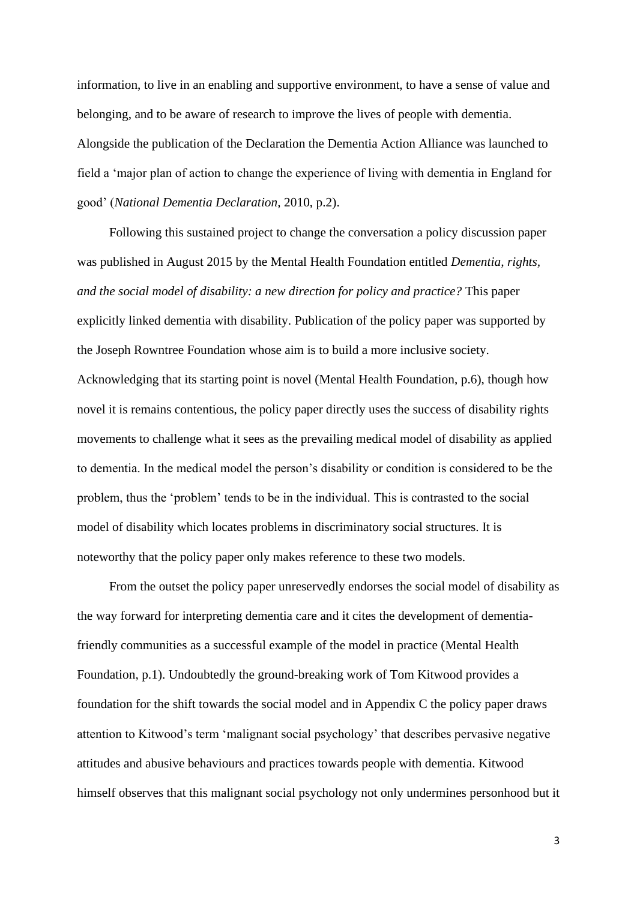information, to live in an enabling and supportive environment, to have a sense of value and belonging, and to be aware of research to improve the lives of people with dementia. Alongside the publication of the Declaration the Dementia Action Alliance was launched to field a 'major plan of action to change the experience of living with dementia in England for good' (*National Dementia Declaration,* 2010, p.2).

 Following this sustained project to change the conversation a policy discussion paper was published in August 2015 by the Mental Health Foundation entitled *Dementia, rights, and the social model of disability: a new direction for policy and practice?* This paper explicitly linked dementia with disability. Publication of the policy paper was supported by the Joseph Rowntree Foundation whose aim is to build a more inclusive society. Acknowledging that its starting point is novel (Mental Health Foundation, p.6), though how novel it is remains contentious, the policy paper directly uses the success of disability rights movements to challenge what it sees as the prevailing medical model of disability as applied to dementia. In the medical model the person's disability or condition is considered to be the problem, thus the 'problem' tends to be in the individual. This is contrasted to the social model of disability which locates problems in discriminatory social structures. It is noteworthy that the policy paper only makes reference to these two models.

 From the outset the policy paper unreservedly endorses the social model of disability as the way forward for interpreting dementia care and it cites the development of dementiafriendly communities as a successful example of the model in practice (Mental Health Foundation, p.1). Undoubtedly the ground-breaking work of Tom Kitwood provides a foundation for the shift towards the social model and in Appendix C the policy paper draws attention to Kitwood's term 'malignant social psychology' that describes pervasive negative attitudes and abusive behaviours and practices towards people with dementia. Kitwood himself observes that this malignant social psychology not only undermines personhood but it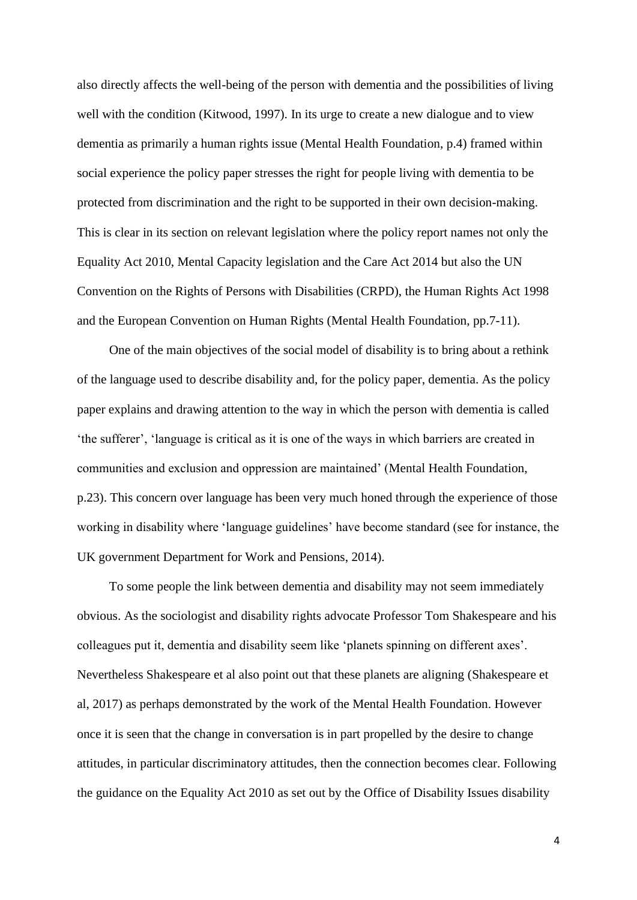also directly affects the well-being of the person with dementia and the possibilities of living well with the condition (Kitwood, 1997). In its urge to create a new dialogue and to view dementia as primarily a human rights issue (Mental Health Foundation, p.4) framed within social experience the policy paper stresses the right for people living with dementia to be protected from discrimination and the right to be supported in their own decision-making. This is clear in its section on relevant legislation where the policy report names not only the Equality Act 2010, Mental Capacity legislation and the Care Act 2014 but also the UN Convention on the Rights of Persons with Disabilities (CRPD), the Human Rights Act 1998 and the European Convention on Human Rights (Mental Health Foundation, pp.7-11).

 One of the main objectives of the social model of disability is to bring about a rethink of the language used to describe disability and, for the policy paper, dementia. As the policy paper explains and drawing attention to the way in which the person with dementia is called 'the sufferer', 'language is critical as it is one of the ways in which barriers are created in communities and exclusion and oppression are maintained' (Mental Health Foundation, p.23). This concern over language has been very much honed through the experience of those working in disability where 'language guidelines' have become standard (see for instance, the UK government Department for Work and Pensions, 2014).

 To some people the link between dementia and disability may not seem immediately obvious. As the sociologist and disability rights advocate Professor Tom Shakespeare and his colleagues put it, dementia and disability seem like 'planets spinning on different axes'. Nevertheless Shakespeare et al also point out that these planets are aligning (Shakespeare et al, 2017) as perhaps demonstrated by the work of the Mental Health Foundation. However once it is seen that the change in conversation is in part propelled by the desire to change attitudes, in particular discriminatory attitudes, then the connection becomes clear. Following the guidance on the Equality Act 2010 as set out by the Office of Disability Issues disability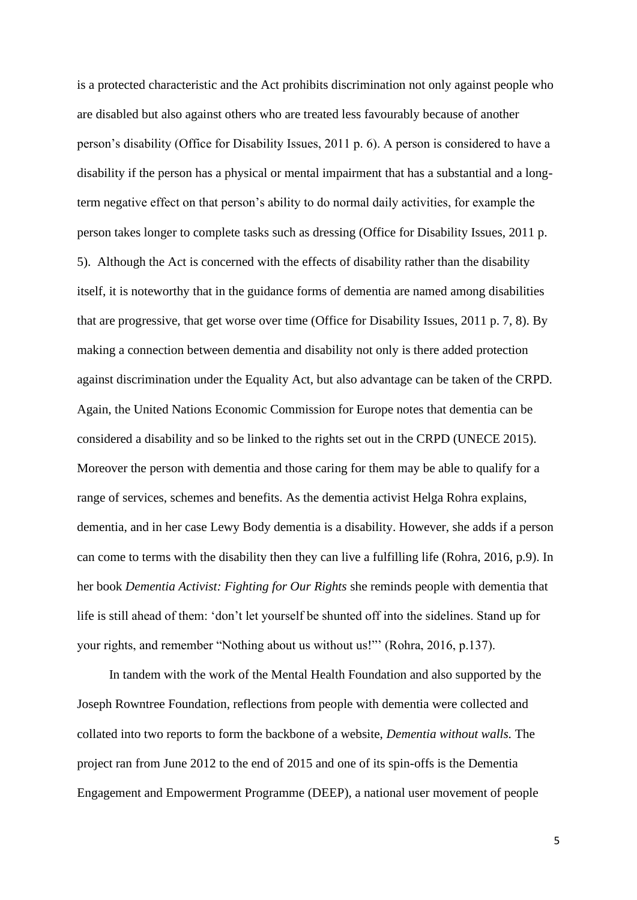is a protected characteristic and the Act prohibits discrimination not only against people who are disabled but also against others who are treated less favourably because of another person's disability (Office for Disability Issues, 2011 p. 6). A person is considered to have a disability if the person has a physical or mental impairment that has a substantial and a longterm negative effect on that person's ability to do normal daily activities, for example the person takes longer to complete tasks such as dressing (Office for Disability Issues, 2011 p. 5). Although the Act is concerned with the effects of disability rather than the disability itself, it is noteworthy that in the guidance forms of dementia are named among disabilities that are progressive, that get worse over time (Office for Disability Issues, 2011 p. 7, 8). By making a connection between dementia and disability not only is there added protection against discrimination under the Equality Act, but also advantage can be taken of the CRPD*.*  Again, the United Nations Economic Commission for Europe notes that dementia can be considered a disability and so be linked to the rights set out in the CRPD (UNECE 2015). Moreover the person with dementia and those caring for them may be able to qualify for a range of services, schemes and benefits. As the dementia activist Helga Rohra explains, dementia, and in her case Lewy Body dementia is a disability. However, she adds if a person can come to terms with the disability then they can live a fulfilling life (Rohra, 2016, p.9). In her book *Dementia Activist: Fighting for Our Rights* she reminds people with dementia that life is still ahead of them: 'don't let yourself be shunted off into the sidelines. Stand up for your rights, and remember "Nothing about us without us!"' (Rohra, 2016, p.137).

 In tandem with the work of the Mental Health Foundation and also supported by the Joseph Rowntree Foundation, reflections from people with dementia were collected and collated into two reports to form the backbone of a website, *Dementia without walls.* The project ran from June 2012 to the end of 2015 and one of its spin-offs is the Dementia Engagement and Empowerment Programme (DEEP), a national user movement of people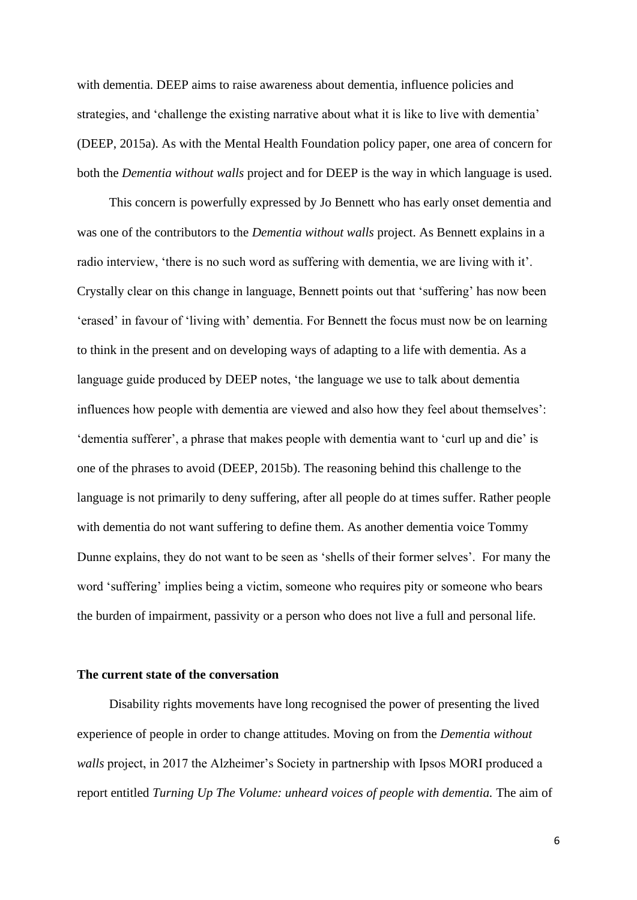with dementia. DEEP aims to raise awareness about dementia, influence policies and strategies, and 'challenge the existing narrative about what it is like to live with dementia' (DEEP, 2015a). As with the Mental Health Foundation policy paper, one area of concern for both the *Dementia without walls* project and for DEEP is the way in which language is used.

 This concern is powerfully expressed by Jo Bennett who has early onset dementia and was one of the contributors to the *Dementia without walls* project. As Bennett explains in a radio interview, 'there is no such word as suffering with dementia, we are living with it'. Crystally clear on this change in language, Bennett points out that 'suffering' has now been 'erased' in favour of 'living with' dementia. For Bennett the focus must now be on learning to think in the present and on developing ways of adapting to a life with dementia. As a language guide produced by DEEP notes, 'the language we use to talk about dementia influences how people with dementia are viewed and also how they feel about themselves': 'dementia sufferer', a phrase that makes people with dementia want to 'curl up and die' is one of the phrases to avoid (DEEP, 2015b). The reasoning behind this challenge to the language is not primarily to deny suffering, after all people do at times suffer. Rather people with dementia do not want suffering to define them. As another dementia voice Tommy Dunne explains, they do not want to be seen as 'shells of their former selves'. For many the word 'suffering' implies being a victim, someone who requires pity or someone who bears the burden of impairment, passivity or a person who does not live a full and personal life.

## **The current state of the conversation**

 Disability rights movements have long recognised the power of presenting the lived experience of people in order to change attitudes. Moving on from the *Dementia without walls* project, in 2017 the Alzheimer's Society in partnership with Ipsos MORI produced a report entitled *Turning Up The Volume: unheard voices of people with dementia.* The aim of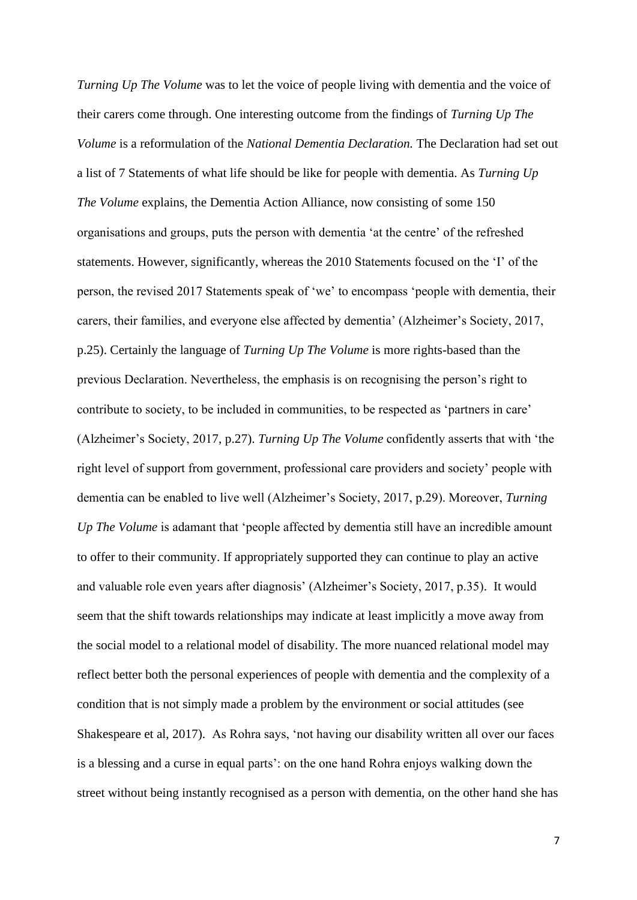*Turning Up The Volume* was to let the voice of people living with dementia and the voice of their carers come through. One interesting outcome from the findings of *Turning Up The Volume* is a reformulation of the *National Dementia Declaration.* The Declaration had set out a list of 7 Statements of what life should be like for people with dementia. As *Turning Up The Volume* explains, the Dementia Action Alliance, now consisting of some 150 organisations and groups, puts the person with dementia 'at the centre' of the refreshed statements. However, significantly, whereas the 2010 Statements focused on the 'I' of the person, the revised 2017 Statements speak of 'we' to encompass 'people with dementia, their carers, their families, and everyone else affected by dementia' (Alzheimer's Society, 2017, p.25). Certainly the language of *Turning Up The Volume* is more rights-based than the previous Declaration. Nevertheless, the emphasis is on recognising the person's right to contribute to society, to be included in communities, to be respected as 'partners in care' (Alzheimer's Society, 2017, p.27). *Turning Up The Volume* confidently asserts that with 'the right level of support from government, professional care providers and society' people with dementia can be enabled to live well (Alzheimer's Society, 2017, p.29). Moreover, *Turning Up The Volume* is adamant that 'people affected by dementia still have an incredible amount to offer to their community. If appropriately supported they can continue to play an active and valuable role even years after diagnosis' (Alzheimer's Society, 2017, p.35). It would seem that the shift towards relationships may indicate at least implicitly a move away from the social model to a relational model of disability. The more nuanced relational model may reflect better both the personal experiences of people with dementia and the complexity of a condition that is not simply made a problem by the environment or social attitudes (see Shakespeare et al, 2017). As Rohra says, 'not having our disability written all over our faces is a blessing and a curse in equal parts': on the one hand Rohra enjoys walking down the street without being instantly recognised as a person with dementia, on the other hand she has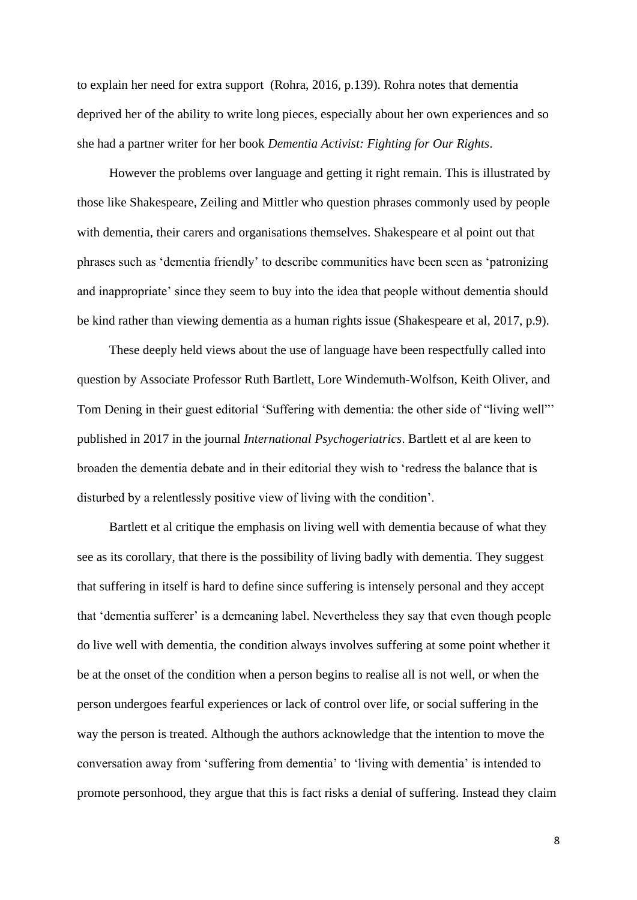to explain her need for extra support (Rohra, 2016, p.139). Rohra notes that dementia deprived her of the ability to write long pieces, especially about her own experiences and so she had a partner writer for her book *Dementia Activist: Fighting for Our Rights*.

 However the problems over language and getting it right remain. This is illustrated by those like Shakespeare, Zeiling and Mittler who question phrases commonly used by people with dementia, their carers and organisations themselves. Shakespeare et al point out that phrases such as 'dementia friendly' to describe communities have been seen as 'patronizing and inappropriate' since they seem to buy into the idea that people without dementia should be kind rather than viewing dementia as a human rights issue (Shakespeare et al, 2017, p.9).

 These deeply held views about the use of language have been respectfully called into question by Associate Professor Ruth Bartlett, Lore Windemuth-Wolfson, Keith Oliver, and Tom Dening in their guest editorial 'Suffering with dementia: the other side of "living well"' published in 2017 in the journal *International Psychogeriatrics*. Bartlett et al are keen to broaden the dementia debate and in their editorial they wish to 'redress the balance that is disturbed by a relentlessly positive view of living with the condition'.

 Bartlett et al critique the emphasis on living well with dementia because of what they see as its corollary, that there is the possibility of living badly with dementia. They suggest that suffering in itself is hard to define since suffering is intensely personal and they accept that 'dementia sufferer' is a demeaning label. Nevertheless they say that even though people do live well with dementia, the condition always involves suffering at some point whether it be at the onset of the condition when a person begins to realise all is not well, or when the person undergoes fearful experiences or lack of control over life, or social suffering in the way the person is treated. Although the authors acknowledge that the intention to move the conversation away from 'suffering from dementia' to 'living with dementia' is intended to promote personhood, they argue that this is fact risks a denial of suffering. Instead they claim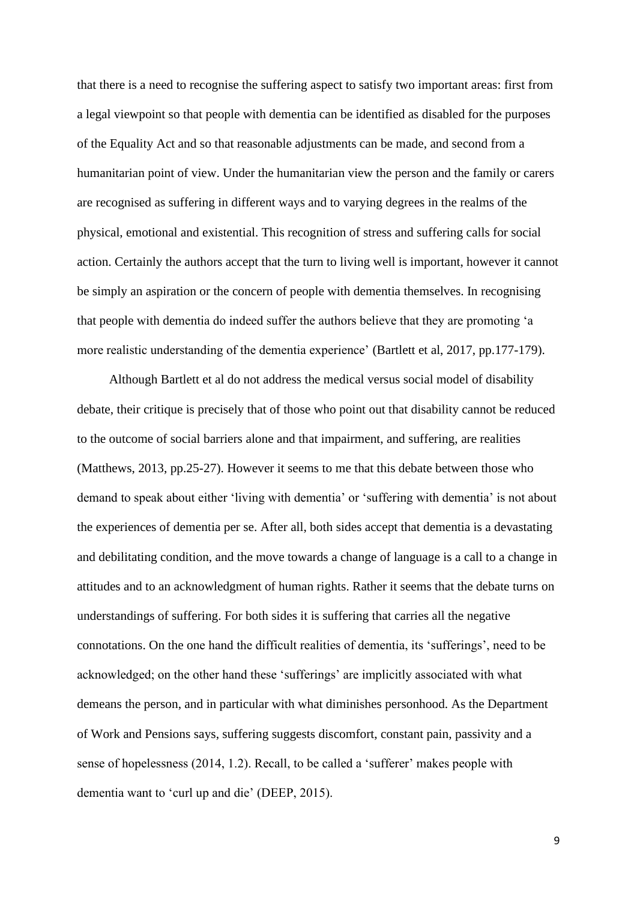that there is a need to recognise the suffering aspect to satisfy two important areas: first from a legal viewpoint so that people with dementia can be identified as disabled for the purposes of the Equality Act and so that reasonable adjustments can be made, and second from a humanitarian point of view. Under the humanitarian view the person and the family or carers are recognised as suffering in different ways and to varying degrees in the realms of the physical, emotional and existential. This recognition of stress and suffering calls for social action. Certainly the authors accept that the turn to living well is important, however it cannot be simply an aspiration or the concern of people with dementia themselves. In recognising that people with dementia do indeed suffer the authors believe that they are promoting 'a more realistic understanding of the dementia experience' (Bartlett et al, 2017, pp.177-179).

 Although Bartlett et al do not address the medical versus social model of disability debate, their critique is precisely that of those who point out that disability cannot be reduced to the outcome of social barriers alone and that impairment, and suffering, are realities (Matthews, 2013, pp.25-27). However it seems to me that this debate between those who demand to speak about either 'living with dementia' or 'suffering with dementia' is not about the experiences of dementia per se. After all, both sides accept that dementia is a devastating and debilitating condition, and the move towards a change of language is a call to a change in attitudes and to an acknowledgment of human rights. Rather it seems that the debate turns on understandings of suffering. For both sides it is suffering that carries all the negative connotations. On the one hand the difficult realities of dementia, its 'sufferings', need to be acknowledged; on the other hand these 'sufferings' are implicitly associated with what demeans the person, and in particular with what diminishes personhood. As the Department of Work and Pensions says, suffering suggests discomfort, constant pain, passivity and a sense of hopelessness (2014, 1.2). Recall, to be called a 'sufferer' makes people with dementia want to 'curl up and die' (DEEP, 2015).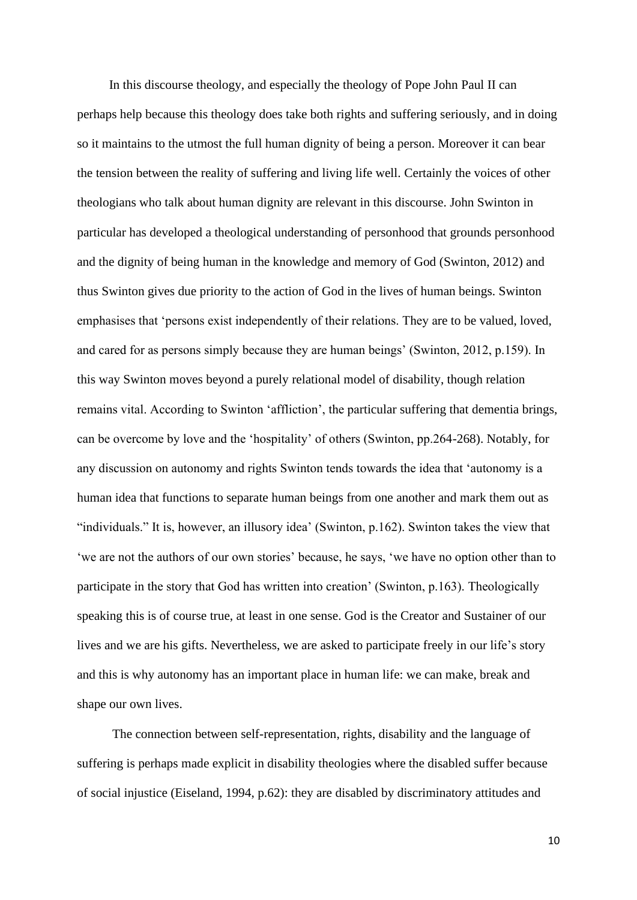In this discourse theology, and especially the theology of Pope John Paul II can perhaps help because this theology does take both rights and suffering seriously, and in doing so it maintains to the utmost the full human dignity of being a person. Moreover it can bear the tension between the reality of suffering and living life well. Certainly the voices of other theologians who talk about human dignity are relevant in this discourse. John Swinton in particular has developed a theological understanding of personhood that grounds personhood and the dignity of being human in the knowledge and memory of God (Swinton, 2012) and thus Swinton gives due priority to the action of God in the lives of human beings. Swinton emphasises that 'persons exist independently of their relations. They are to be valued, loved, and cared for as persons simply because they are human beings' (Swinton, 2012, p.159). In this way Swinton moves beyond a purely relational model of disability, though relation remains vital. According to Swinton 'affliction', the particular suffering that dementia brings, can be overcome by love and the 'hospitality' of others (Swinton, pp.264-268). Notably, for any discussion on autonomy and rights Swinton tends towards the idea that 'autonomy is a human idea that functions to separate human beings from one another and mark them out as "individuals." It is, however, an illusory idea' (Swinton, p.162). Swinton takes the view that 'we are not the authors of our own stories' because, he says, 'we have no option other than to participate in the story that God has written into creation' (Swinton, p.163). Theologically speaking this is of course true, at least in one sense. God is the Creator and Sustainer of our lives and we are his gifts. Nevertheless, we are asked to participate freely in our life's story and this is why autonomy has an important place in human life: we can make, break and shape our own lives.

 The connection between self-representation, rights, disability and the language of suffering is perhaps made explicit in disability theologies where the disabled suffer because of social injustice (Eiseland, 1994, p.62): they are disabled by discriminatory attitudes and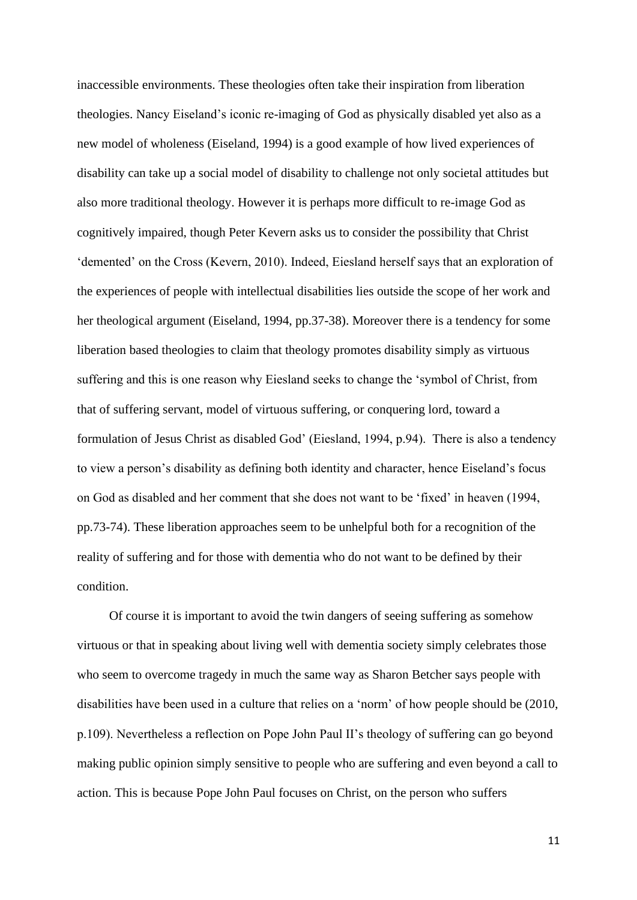inaccessible environments. These theologies often take their inspiration from liberation theologies. Nancy Eiseland's iconic re-imaging of God as physically disabled yet also as a new model of wholeness (Eiseland, 1994) is a good example of how lived experiences of disability can take up a social model of disability to challenge not only societal attitudes but also more traditional theology. However it is perhaps more difficult to re-image God as cognitively impaired, though Peter Kevern asks us to consider the possibility that Christ 'demented' on the Cross (Kevern, 2010). Indeed, Eiesland herself says that an exploration of the experiences of people with intellectual disabilities lies outside the scope of her work and her theological argument (Eiseland, 1994, pp.37-38). Moreover there is a tendency for some liberation based theologies to claim that theology promotes disability simply as virtuous suffering and this is one reason why Eiesland seeks to change the 'symbol of Christ, from that of suffering servant, model of virtuous suffering, or conquering lord, toward a formulation of Jesus Christ as disabled God' (Eiesland, 1994, p.94). There is also a tendency to view a person's disability as defining both identity and character, hence Eiseland's focus on God as disabled and her comment that she does not want to be 'fixed' in heaven (1994, pp.73-74). These liberation approaches seem to be unhelpful both for a recognition of the reality of suffering and for those with dementia who do not want to be defined by their condition.

 Of course it is important to avoid the twin dangers of seeing suffering as somehow virtuous or that in speaking about living well with dementia society simply celebrates those who seem to overcome tragedy in much the same way as Sharon Betcher says people with disabilities have been used in a culture that relies on a 'norm' of how people should be (2010, p.109). Nevertheless a reflection on Pope John Paul II's theology of suffering can go beyond making public opinion simply sensitive to people who are suffering and even beyond a call to action. This is because Pope John Paul focuses on Christ, on the person who suffers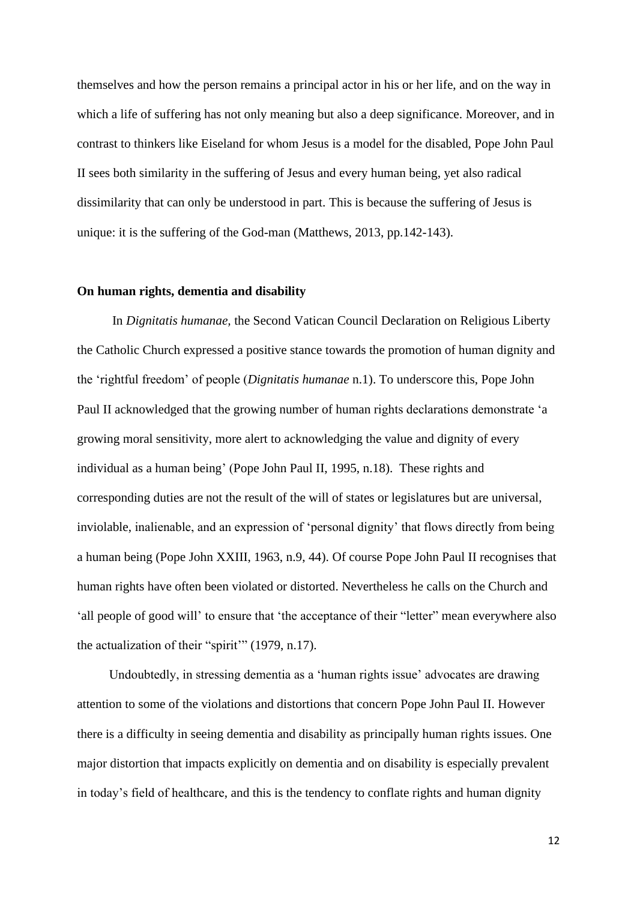themselves and how the person remains a principal actor in his or her life, and on the way in which a life of suffering has not only meaning but also a deep significance. Moreover, and in contrast to thinkers like Eiseland for whom Jesus is a model for the disabled, Pope John Paul II sees both similarity in the suffering of Jesus and every human being, yet also radical dissimilarity that can only be understood in part. This is because the suffering of Jesus is unique: it is the suffering of the God-man (Matthews, 2013, pp.142-143).

#### **On human rights, dementia and disability**

 In *Dignitatis humanae,* the Second Vatican Council Declaration on Religious Liberty the Catholic Church expressed a positive stance towards the promotion of human dignity and the 'rightful freedom' of people (*Dignitatis humanae* n.1). To underscore this, Pope John Paul II acknowledged that the growing number of human rights declarations demonstrate 'a growing moral sensitivity, more alert to acknowledging the value and dignity of every individual as a human being' (Pope John Paul II, 1995, n.18). These rights and corresponding duties are not the result of the will of states or legislatures but are universal, inviolable, inalienable, and an expression of 'personal dignity' that flows directly from being a human being (Pope John XXIII, 1963, n.9, 44). Of course Pope John Paul II recognises that human rights have often been violated or distorted. Nevertheless he calls on the Church and 'all people of good will' to ensure that 'the acceptance of their "letter" mean everywhere also the actualization of their "spirit'" (1979, n.17).

 Undoubtedly, in stressing dementia as a 'human rights issue' advocates are drawing attention to some of the violations and distortions that concern Pope John Paul II. However there is a difficulty in seeing dementia and disability as principally human rights issues. One major distortion that impacts explicitly on dementia and on disability is especially prevalent in today's field of healthcare, and this is the tendency to conflate rights and human dignity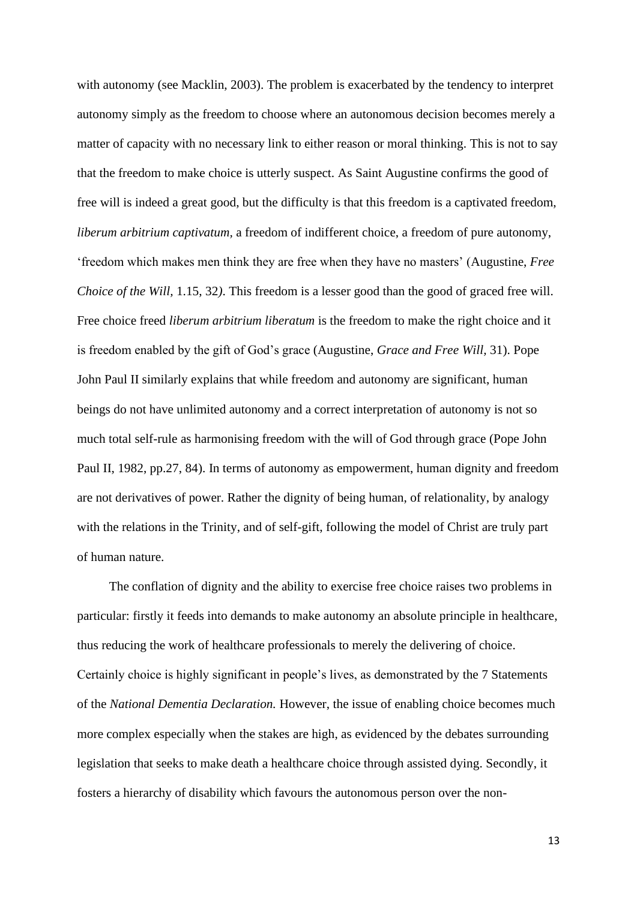with autonomy (see Macklin, 2003). The problem is exacerbated by the tendency to interpret autonomy simply as the freedom to choose where an autonomous decision becomes merely a matter of capacity with no necessary link to either reason or moral thinking. This is not to say that the freedom to make choice is utterly suspect. As Saint Augustine confirms the good of free will is indeed a great good, but the difficulty is that this freedom is a captivated freedom, *liberum arbitrium captivatum,* a freedom of indifferent choice, a freedom of pure autonomy, 'freedom which makes men think they are free when they have no masters' (Augustine, *Free Choice of the Will,* 1.15, 32*)*. This freedom is a lesser good than the good of graced free will. Free choice freed *liberum arbitrium liberatum* is the freedom to make the right choice and it is freedom enabled by the gift of God's grace (Augustine, *Grace and Free Will,* 31). Pope John Paul II similarly explains that while freedom and autonomy are significant, human beings do not have unlimited autonomy and a correct interpretation of autonomy is not so much total self-rule as harmonising freedom with the will of God through grace (Pope John Paul II, 1982, pp.27, 84). In terms of autonomy as empowerment, human dignity and freedom are not derivatives of power. Rather the dignity of being human, of relationality, by analogy with the relations in the Trinity, and of self-gift, following the model of Christ are truly part of human nature.

 The conflation of dignity and the ability to exercise free choice raises two problems in particular: firstly it feeds into demands to make autonomy an absolute principle in healthcare, thus reducing the work of healthcare professionals to merely the delivering of choice. Certainly choice is highly significant in people's lives, as demonstrated by the 7 Statements of the *National Dementia Declaration.* However, the issue of enabling choice becomes much more complex especially when the stakes are high, as evidenced by the debates surrounding legislation that seeks to make death a healthcare choice through assisted dying. Secondly, it fosters a hierarchy of disability which favours the autonomous person over the non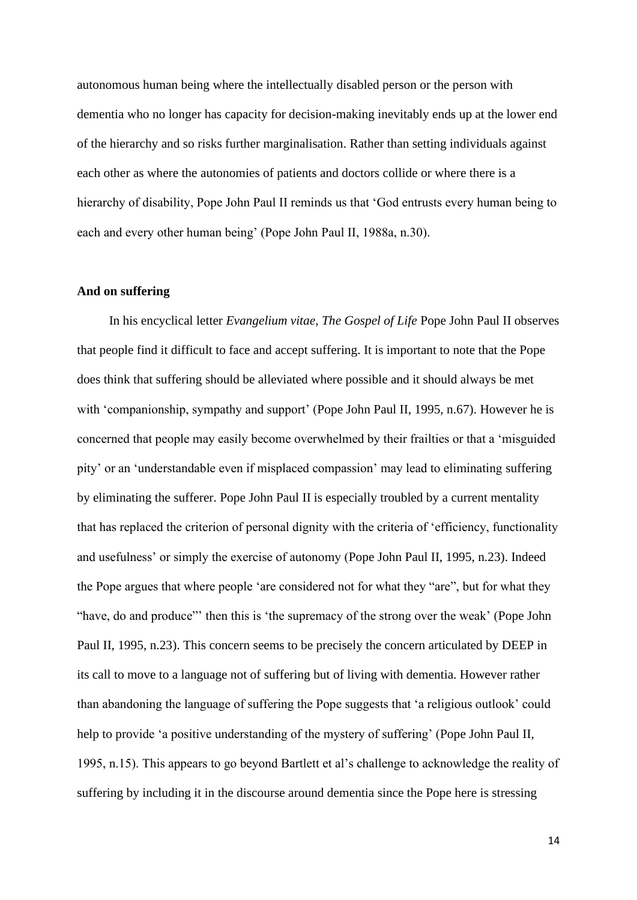autonomous human being where the intellectually disabled person or the person with dementia who no longer has capacity for decision-making inevitably ends up at the lower end of the hierarchy and so risks further marginalisation. Rather than setting individuals against each other as where the autonomies of patients and doctors collide or where there is a hierarchy of disability, Pope John Paul II reminds us that 'God entrusts every human being to each and every other human being' (Pope John Paul II, 1988a, n.30).

### **And on suffering**

In his encyclical letter *Evangelium vitae, The Gospel of Life* Pope John Paul II observes that people find it difficult to face and accept suffering. It is important to note that the Pope does think that suffering should be alleviated where possible and it should always be met with 'companionship, sympathy and support' (Pope John Paul II, 1995, n.67). However he is concerned that people may easily become overwhelmed by their frailties or that a 'misguided pity' or an 'understandable even if misplaced compassion' may lead to eliminating suffering by eliminating the sufferer. Pope John Paul II is especially troubled by a current mentality that has replaced the criterion of personal dignity with the criteria of 'efficiency, functionality and usefulness' or simply the exercise of autonomy (Pope John Paul II, 1995, n.23). Indeed the Pope argues that where people 'are considered not for what they "are", but for what they "have, do and produce"' then this is 'the supremacy of the strong over the weak' (Pope John Paul II, 1995, n.23). This concern seems to be precisely the concern articulated by DEEP in its call to move to a language not of suffering but of living with dementia. However rather than abandoning the language of suffering the Pope suggests that 'a religious outlook' could help to provide 'a positive understanding of the mystery of suffering' (Pope John Paul II, 1995, n.15). This appears to go beyond Bartlett et al's challenge to acknowledge the reality of suffering by including it in the discourse around dementia since the Pope here is stressing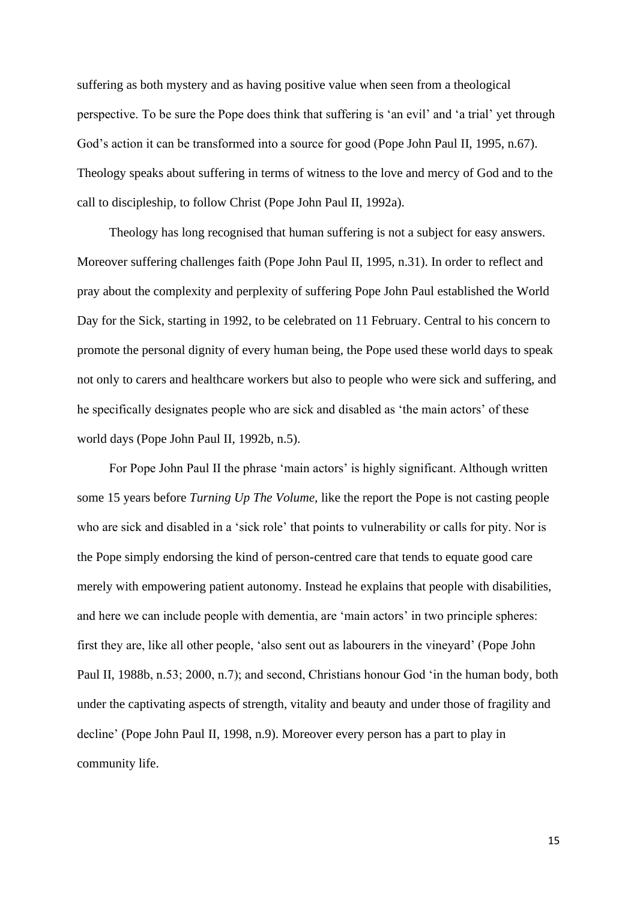suffering as both mystery and as having positive value when seen from a theological perspective. To be sure the Pope does think that suffering is 'an evil' and 'a trial' yet through God's action it can be transformed into a source for good (Pope John Paul II, 1995, n.67). Theology speaks about suffering in terms of witness to the love and mercy of God and to the call to discipleship, to follow Christ (Pope John Paul II, 1992a).

 Theology has long recognised that human suffering is not a subject for easy answers. Moreover suffering challenges faith (Pope John Paul II, 1995, n.31). In order to reflect and pray about the complexity and perplexity of suffering Pope John Paul established the World Day for the Sick, starting in 1992, to be celebrated on 11 February. Central to his concern to promote the personal dignity of every human being, the Pope used these world days to speak not only to carers and healthcare workers but also to people who were sick and suffering, and he specifically designates people who are sick and disabled as 'the main actors' of these world days (Pope John Paul II, 1992b, n.5).

For Pope John Paul II the phrase 'main actors' is highly significant. Although written some 15 years before *Turning Up The Volume,* like the report the Pope is not casting people who are sick and disabled in a 'sick role' that points to vulnerability or calls for pity. Nor is the Pope simply endorsing the kind of person-centred care that tends to equate good care merely with empowering patient autonomy. Instead he explains that people with disabilities, and here we can include people with dementia, are 'main actors' in two principle spheres: first they are, like all other people, 'also sent out as labourers in the vineyard' (Pope John Paul II, 1988b, n.53; 2000, n.7); and second, Christians honour God 'in the human body, both under the captivating aspects of strength, vitality and beauty and under those of fragility and decline' (Pope John Paul II, 1998, n.9). Moreover every person has a part to play in community life.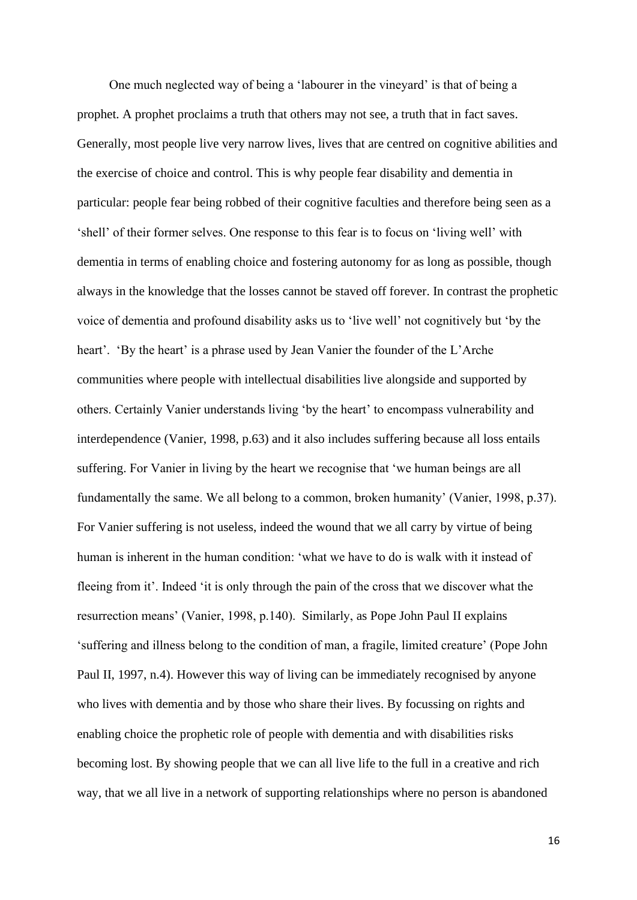One much neglected way of being a 'labourer in the vineyard' is that of being a prophet. A prophet proclaims a truth that others may not see, a truth that in fact saves. Generally, most people live very narrow lives, lives that are centred on cognitive abilities and the exercise of choice and control. This is why people fear disability and dementia in particular: people fear being robbed of their cognitive faculties and therefore being seen as a 'shell' of their former selves. One response to this fear is to focus on 'living well' with dementia in terms of enabling choice and fostering autonomy for as long as possible, though always in the knowledge that the losses cannot be staved off forever. In contrast the prophetic voice of dementia and profound disability asks us to 'live well' not cognitively but 'by the heart'. 'By the heart' is a phrase used by Jean Vanier the founder of the L'Arche communities where people with intellectual disabilities live alongside and supported by others. Certainly Vanier understands living 'by the heart' to encompass vulnerability and interdependence (Vanier, 1998, p.63) and it also includes suffering because all loss entails suffering. For Vanier in living by the heart we recognise that 'we human beings are all fundamentally the same. We all belong to a common, broken humanity' (Vanier, 1998, p.37). For Vanier suffering is not useless, indeed the wound that we all carry by virtue of being human is inherent in the human condition: 'what we have to do is walk with it instead of fleeing from it'. Indeed 'it is only through the pain of the cross that we discover what the resurrection means' (Vanier, 1998, p.140). Similarly, as Pope John Paul II explains 'suffering and illness belong to the condition of man, a fragile, limited creature' (Pope John Paul II, 1997, n.4). However this way of living can be immediately recognised by anyone who lives with dementia and by those who share their lives. By focussing on rights and enabling choice the prophetic role of people with dementia and with disabilities risks becoming lost. By showing people that we can all live life to the full in a creative and rich way, that we all live in a network of supporting relationships where no person is abandoned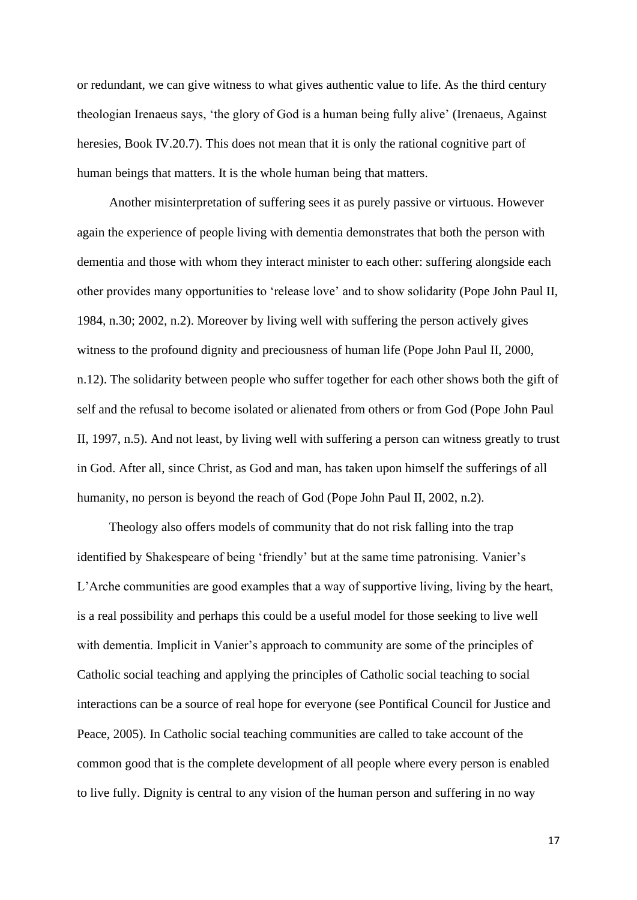or redundant, we can give witness to what gives authentic value to life. As the third century theologian Irenaeus says, 'the glory of God is a human being fully alive' (Irenaeus, Against heresies, Book IV.20.7). This does not mean that it is only the rational cognitive part of human beings that matters. It is the whole human being that matters.

 Another misinterpretation of suffering sees it as purely passive or virtuous. However again the experience of people living with dementia demonstrates that both the person with dementia and those with whom they interact minister to each other: suffering alongside each other provides many opportunities to 'release love' and to show solidarity (Pope John Paul II, 1984, n.30; 2002, n.2). Moreover by living well with suffering the person actively gives witness to the profound dignity and preciousness of human life (Pope John Paul II, 2000, n.12). The solidarity between people who suffer together for each other shows both the gift of self and the refusal to become isolated or alienated from others or from God (Pope John Paul II, 1997, n.5). And not least, by living well with suffering a person can witness greatly to trust in God. After all, since Christ, as God and man, has taken upon himself the sufferings of all humanity, no person is beyond the reach of God (Pope John Paul II, 2002, n.2).

 Theology also offers models of community that do not risk falling into the trap identified by Shakespeare of being 'friendly' but at the same time patronising. Vanier's L'Arche communities are good examples that a way of supportive living, living by the heart, is a real possibility and perhaps this could be a useful model for those seeking to live well with dementia. Implicit in Vanier's approach to community are some of the principles of Catholic social teaching and applying the principles of Catholic social teaching to social interactions can be a source of real hope for everyone (see Pontifical Council for Justice and Peace, 2005). In Catholic social teaching communities are called to take account of the common good that is the complete development of all people where every person is enabled to live fully. Dignity is central to any vision of the human person and suffering in no way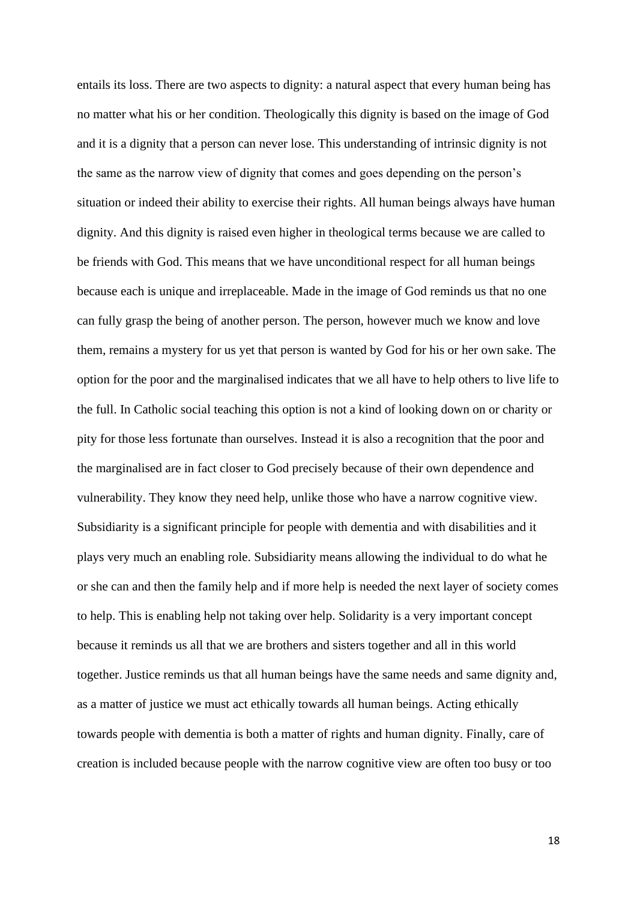entails its loss. There are two aspects to dignity: a natural aspect that every human being has no matter what his or her condition. Theologically this dignity is based on the image of God and it is a dignity that a person can never lose. This understanding of intrinsic dignity is not the same as the narrow view of dignity that comes and goes depending on the person's situation or indeed their ability to exercise their rights. All human beings always have human dignity. And this dignity is raised even higher in theological terms because we are called to be friends with God. This means that we have unconditional respect for all human beings because each is unique and irreplaceable. Made in the image of God reminds us that no one can fully grasp the being of another person. The person, however much we know and love them, remains a mystery for us yet that person is wanted by God for his or her own sake. The option for the poor and the marginalised indicates that we all have to help others to live life to the full. In Catholic social teaching this option is not a kind of looking down on or charity or pity for those less fortunate than ourselves. Instead it is also a recognition that the poor and the marginalised are in fact closer to God precisely because of their own dependence and vulnerability. They know they need help, unlike those who have a narrow cognitive view. Subsidiarity is a significant principle for people with dementia and with disabilities and it plays very much an enabling role. Subsidiarity means allowing the individual to do what he or she can and then the family help and if more help is needed the next layer of society comes to help. This is enabling help not taking over help. Solidarity is a very important concept because it reminds us all that we are brothers and sisters together and all in this world together. Justice reminds us that all human beings have the same needs and same dignity and, as a matter of justice we must act ethically towards all human beings. Acting ethically towards people with dementia is both a matter of rights and human dignity. Finally, care of creation is included because people with the narrow cognitive view are often too busy or too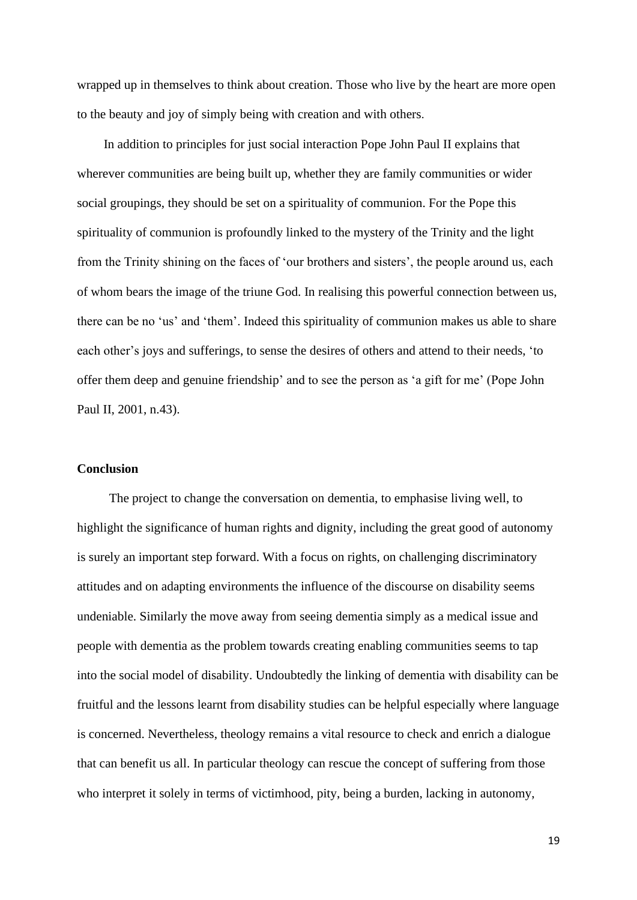wrapped up in themselves to think about creation. Those who live by the heart are more open to the beauty and joy of simply being with creation and with others.

 In addition to principles for just social interaction Pope John Paul II explains that wherever communities are being built up, whether they are family communities or wider social groupings, they should be set on a spirituality of communion. For the Pope this spirituality of communion is profoundly linked to the mystery of the Trinity and the light from the Trinity shining on the faces of 'our brothers and sisters', the people around us, each of whom bears the image of the triune God. In realising this powerful connection between us, there can be no 'us' and 'them'. Indeed this spirituality of communion makes us able to share each other's joys and sufferings, to sense the desires of others and attend to their needs, 'to offer them deep and genuine friendship' and to see the person as 'a gift for me' (Pope John Paul II, 2001, n.43).

#### **Conclusion**

The project to change the conversation on dementia, to emphasise living well, to highlight the significance of human rights and dignity, including the great good of autonomy is surely an important step forward. With a focus on rights, on challenging discriminatory attitudes and on adapting environments the influence of the discourse on disability seems undeniable. Similarly the move away from seeing dementia simply as a medical issue and people with dementia as the problem towards creating enabling communities seems to tap into the social model of disability. Undoubtedly the linking of dementia with disability can be fruitful and the lessons learnt from disability studies can be helpful especially where language is concerned. Nevertheless, theology remains a vital resource to check and enrich a dialogue that can benefit us all. In particular theology can rescue the concept of suffering from those who interpret it solely in terms of victimhood, pity, being a burden, lacking in autonomy,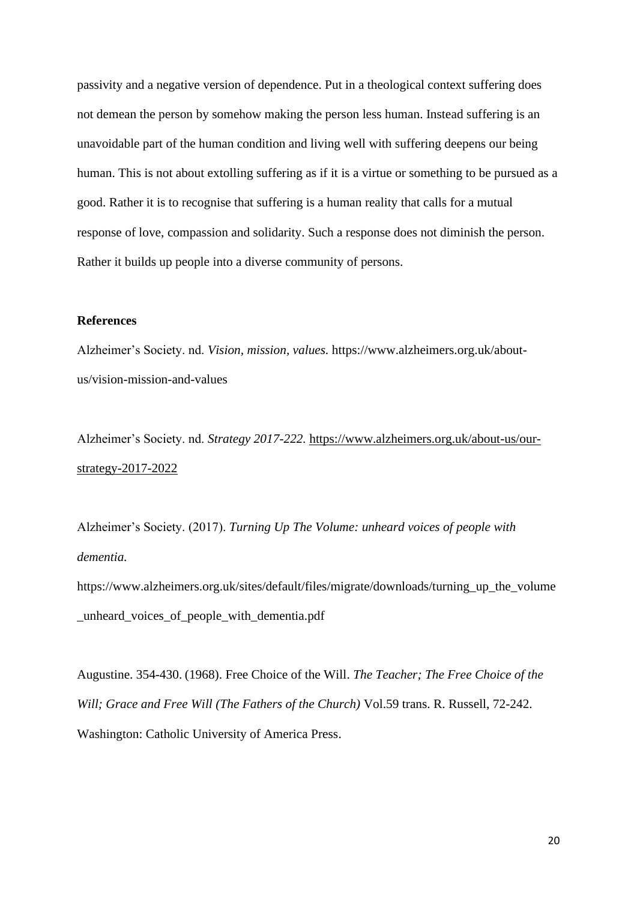passivity and a negative version of dependence. Put in a theological context suffering does not demean the person by somehow making the person less human. Instead suffering is an unavoidable part of the human condition and living well with suffering deepens our being human. This is not about extolling suffering as if it is a virtue or something to be pursued as a good. Rather it is to recognise that suffering is a human reality that calls for a mutual response of love, compassion and solidarity. Such a response does not diminish the person. Rather it builds up people into a diverse community of persons.

## **References**

Alzheimer's Society. nd. *Vision, mission, values.* https://www.alzheimers.org.uk/aboutus/vision-mission-and-values

Alzheimer's Society. nd. *Strategy 2017-222.* [https://www.alzheimers.org.uk/about-us/our](https://www.alzheimers.org.uk/about-us/our-strategy-2017-2022)[strategy-2017-2022](https://www.alzheimers.org.uk/about-us/our-strategy-2017-2022)

Alzheimer's Society. (2017). *Turning Up The Volume: unheard voices of people with dementia.*

https://www.alzheimers.org.uk/sites/default/files/migrate/downloads/turning\_up\_the\_volume \_unheard\_voices\_of\_people\_with\_dementia.pdf

Augustine. 354-430. (1968). Free Choice of the Will. *The Teacher; The Free Choice of the Will; Grace and Free Will (The Fathers of the Church)* Vol.59 trans. R. Russell, 72-242. Washington: Catholic University of America Press.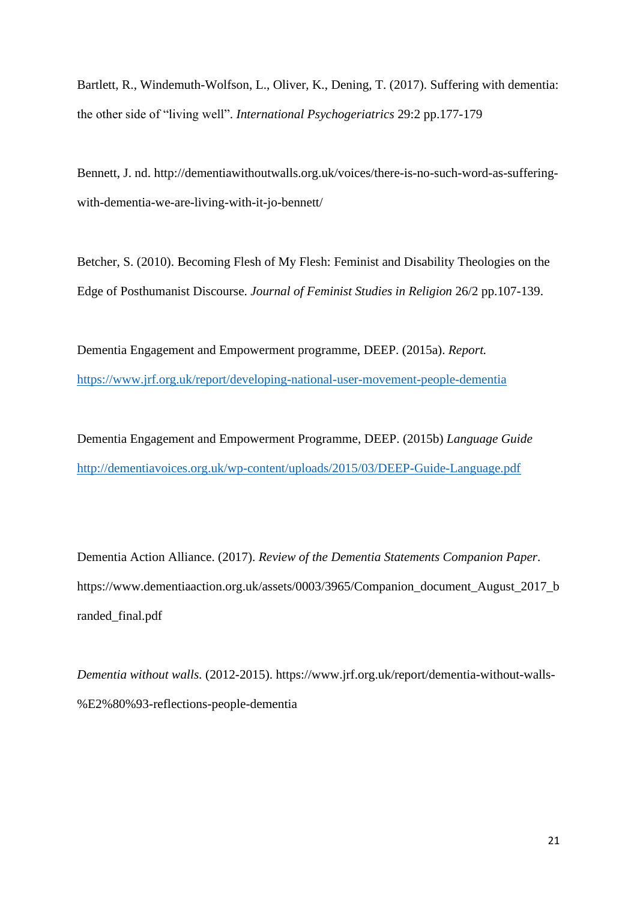Bartlett, R., Windemuth-Wolfson, L., Oliver, K., Dening, T. (2017). Suffering with dementia: the other side of "living well". *International Psychogeriatrics* 29:2 pp.177-179

Bennett, J. nd. http://dementiawithoutwalls.org.uk/voices/there-is-no-such-word-as-sufferingwith-dementia-we-are-living-with-it-jo-bennett/

Betcher, S. (2010). Becoming Flesh of My Flesh: Feminist and Disability Theologies on the Edge of Posthumanist Discourse. *Journal of Feminist Studies in Religion* 26/2 pp.107-139.

Dementia Engagement and Empowerment programme, DEEP. (2015a). *Report.* <https://www.jrf.org.uk/report/developing-national-user-movement-people-dementia>

Dementia Engagement and Empowerment Programme, DEEP. (2015b) *Language Guide* <http://dementiavoices.org.uk/wp-content/uploads/2015/03/DEEP-Guide-Language.pdf>

Dementia Action Alliance. (2017). *Review of the Dementia Statements Companion Paper.*  https://www.dementiaaction.org.uk/assets/0003/3965/Companion\_document\_August\_2017\_b randed\_final.pdf

*Dementia without walls.* (2012-2015). https://www.jrf.org.uk/report/dementia-without-walls- %E2%80%93-reflections-people-dementia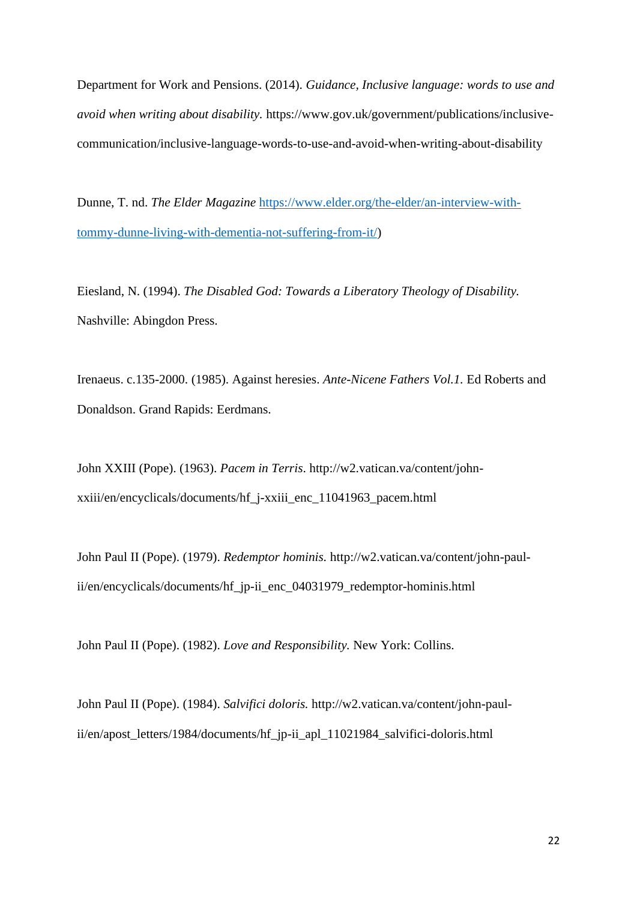Department for Work and Pensions. (2014). *Guidance, Inclusive language: words to use and avoid when writing about disability.* https://www.gov.uk/government/publications/inclusivecommunication/inclusive-language-words-to-use-and-avoid-when-writing-about-disability

Dunne, T. nd. *The Elder Magazine* [https://www.elder.org/the-elder/an-interview-with](https://www.elder.org/the-elder/an-interview-with-tommy-dunne-living-with-dementia-not-suffering-from-it/)[tommy-dunne-living-with-dementia-not-suffering-from-it/\)](https://www.elder.org/the-elder/an-interview-with-tommy-dunne-living-with-dementia-not-suffering-from-it/)

Eiesland, N. (1994). *The Disabled God: Towards a Liberatory Theology of Disability.*  Nashville: Abingdon Press.

Irenaeus. c.135-2000. (1985). Against heresies. *Ante-Nicene Fathers Vol.1.* Ed Roberts and Donaldson. Grand Rapids: Eerdmans.

John XXIII (Pope). (1963). *Pacem in Terris*. http://w2.vatican.va/content/johnxxiii/en/encyclicals/documents/hf\_j-xxiii\_enc\_11041963\_pacem.html

John Paul II (Pope). (1979). *Redemptor hominis.* http://w2.vatican.va/content/john-paulii/en/encyclicals/documents/hf\_jp-ii\_enc\_04031979\_redemptor-hominis.html

John Paul II (Pope). (1982). *Love and Responsibility.* New York: Collins.

John Paul II (Pope). (1984). *Salvifici doloris.* http://w2.vatican.va/content/john-paulii/en/apost\_letters/1984/documents/hf\_jp-ii\_apl\_11021984\_salvifici-doloris.html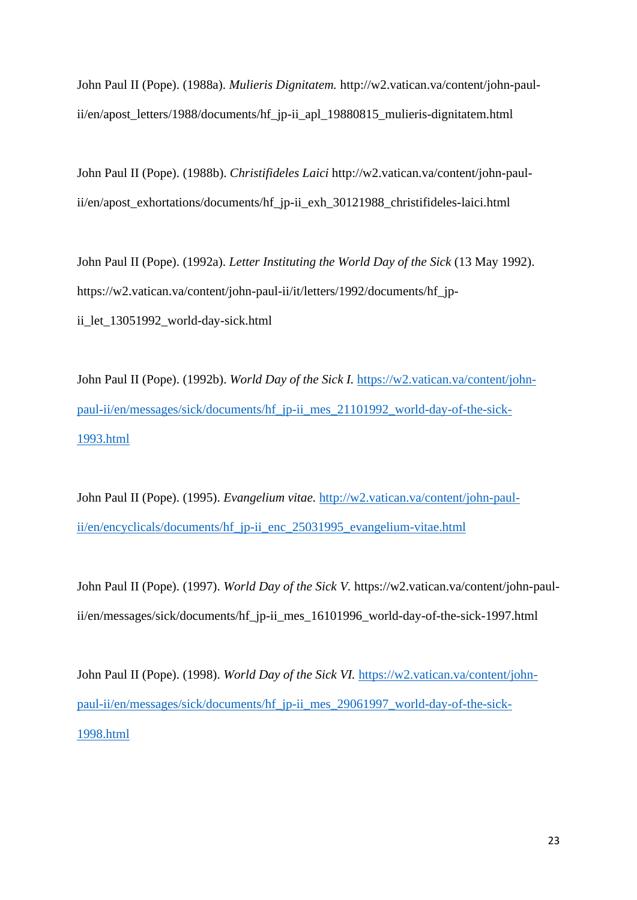John Paul II (Pope). (1988a). *Mulieris Dignitatem.* http://w2.vatican.va/content/john-paulii/en/apost\_letters/1988/documents/hf\_jp-ii\_apl\_19880815\_mulieris-dignitatem.html

John Paul II (Pope). (1988b). *Christifideles Laici* http://w2.vatican.va/content/john-paulii/en/apost\_exhortations/documents/hf\_jp-ii\_exh\_30121988\_christifideles-laici.html

John Paul II (Pope). (1992a). *Letter Instituting the World Day of the Sick* (13 May 1992). https://w2.vatican.va/content/john-paul-ii/it/letters/1992/documents/hf\_jpii\_let\_13051992\_world-day-sick.html

John Paul II (Pope). (1992b). *World Day of the Sick I.* [https://w2.vatican.va/content/john](https://w2.vatican.va/content/john-paul-ii/en/messages/sick/documents/hf_jp-ii_mes_21101992_world-day-of-the-sick-1993.html)[paul-ii/en/messages/sick/documents/hf\\_jp-ii\\_mes\\_21101992\\_world-day-of-the-sick-](https://w2.vatican.va/content/john-paul-ii/en/messages/sick/documents/hf_jp-ii_mes_21101992_world-day-of-the-sick-1993.html)[1993.html](https://w2.vatican.va/content/john-paul-ii/en/messages/sick/documents/hf_jp-ii_mes_21101992_world-day-of-the-sick-1993.html)

John Paul II (Pope). (1995). *Evangelium vitae.* [http://w2.vatican.va/content/john-paul](http://w2.vatican.va/content/john-paul-ii/en/encyclicals/documents/hf_jp-ii_enc_25031995_evangelium-vitae.html)[ii/en/encyclicals/documents/hf\\_jp-ii\\_enc\\_25031995\\_evangelium-vitae.html](http://w2.vatican.va/content/john-paul-ii/en/encyclicals/documents/hf_jp-ii_enc_25031995_evangelium-vitae.html)

John Paul II (Pope). (1997). *World Day of the Sick V.* https://w2.vatican.va/content/john-paulii/en/messages/sick/documents/hf\_jp-ii\_mes\_16101996\_world-day-of-the-sick-1997.html

John Paul II (Pope). (1998). *World Day of the Sick VI.* [https://w2.vatican.va/content/john](https://w2.vatican.va/content/john-paul-ii/en/messages/sick/documents/hf_jp-ii_mes_29061997_world-day-of-the-sick-1998.html)[paul-ii/en/messages/sick/documents/hf\\_jp-ii\\_mes\\_29061997\\_world-day-of-the-sick-](https://w2.vatican.va/content/john-paul-ii/en/messages/sick/documents/hf_jp-ii_mes_29061997_world-day-of-the-sick-1998.html)[1998.html](https://w2.vatican.va/content/john-paul-ii/en/messages/sick/documents/hf_jp-ii_mes_29061997_world-day-of-the-sick-1998.html)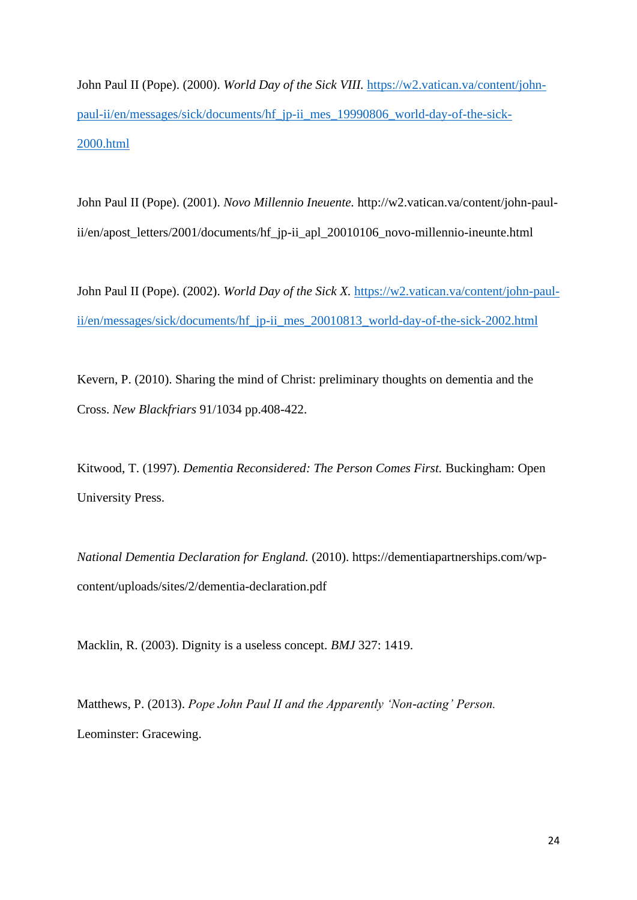John Paul II (Pope). (2000). *World Day of the Sick VIII.* [https://w2.vatican.va/content/john](https://w2.vatican.va/content/john-paul-ii/en/messages/sick/documents/hf_jp-ii_mes_19990806_world-day-of-the-sick-2000.html)[paul-ii/en/messages/sick/documents/hf\\_jp-ii\\_mes\\_19990806\\_world-day-of-the-sick-](https://w2.vatican.va/content/john-paul-ii/en/messages/sick/documents/hf_jp-ii_mes_19990806_world-day-of-the-sick-2000.html)[2000.html](https://w2.vatican.va/content/john-paul-ii/en/messages/sick/documents/hf_jp-ii_mes_19990806_world-day-of-the-sick-2000.html)

John Paul II (Pope). (2001). *Novo Millennio Ineuente.* http://w2.vatican.va/content/john-paulii/en/apost\_letters/2001/documents/hf\_jp-ii\_apl\_20010106\_novo-millennio-ineunte.html

John Paul II (Pope). (2002). *World Day of the Sick X.* [https://w2.vatican.va/content/john-paul](https://w2.vatican.va/content/john-paul-ii/en/messages/sick/documents/hf_jp-ii_mes_20010813_world-day-of-the-sick-2002.html)[ii/en/messages/sick/documents/hf\\_jp-ii\\_mes\\_20010813\\_world-day-of-the-sick-2002.html](https://w2.vatican.va/content/john-paul-ii/en/messages/sick/documents/hf_jp-ii_mes_20010813_world-day-of-the-sick-2002.html)

Kevern, P. (2010). Sharing the mind of Christ: preliminary thoughts on dementia and the Cross. *New Blackfriars* 91/1034 pp.408-422.

Kitwood, T. (1997). *Dementia Reconsidered: The Person Comes First.* Buckingham: Open University Press.

*National Dementia Declaration for England.* (2010). https://dementiapartnerships.com/wpcontent/uploads/sites/2/dementia-declaration.pdf

Macklin, R. (2003). Dignity is a useless concept. *BMJ* 327: 1419.

Matthews, P. (2013). *Pope John Paul II and the Apparently 'Non-acting' Person.*  Leominster: Gracewing.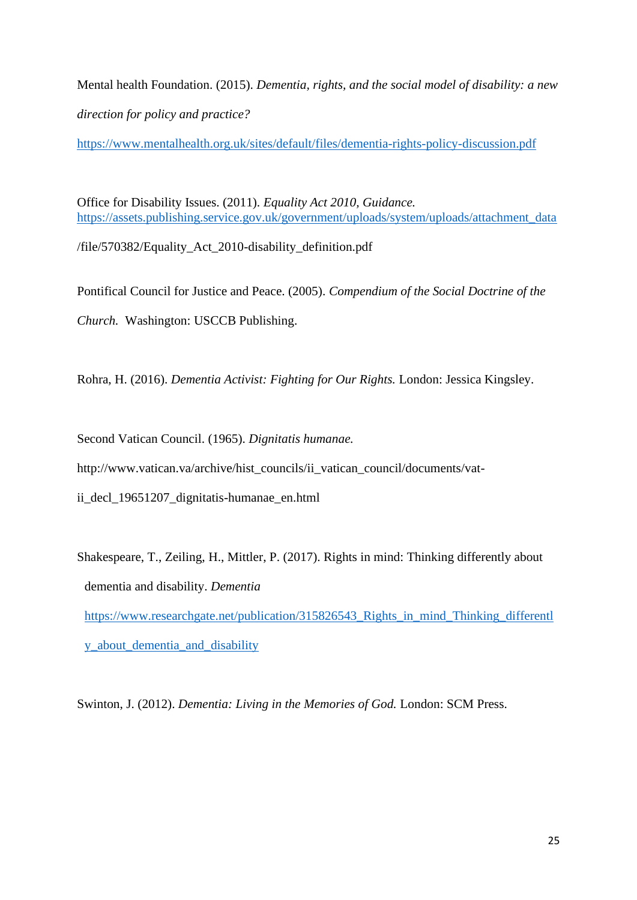Mental health Foundation. (2015). *Dementia, rights, and the social model of disability: a new direction for policy and practice?*

<https://www.mentalhealth.org.uk/sites/default/files/dementia-rights-policy-discussion.pdf>

Office for Disability Issues. (2011). *Equality Act 2010, Guidance.*  [https://assets.publishing.service.gov.uk/government/uploads/system/uploads/attachment\\_data](https://assets.publishing.service.gov.uk/government/uploads/system/uploads/attachment_data) /file/570382/Equality\_Act\_2010-disability\_definition.pdf

Pontifical Council for Justice and Peace. (2005). *Compendium of the Social Doctrine of the Church.* Washington: USCCB Publishing.

Rohra, H. (2016). *Dementia Activist: Fighting for Our Rights.* London: Jessica Kingsley.

Second Vatican Council. (1965). *Dignitatis humanae.* 

http://www.vatican.va/archive/hist\_councils/ii\_vatican\_council/documents/vat-

ii decl 19651207 dignitatis-humanae en.html

Shakespeare, T., Zeiling, H., Mittler, P. (2017). Rights in mind: Thinking differently about dementia and disability. *Dementia*  [https://www.researchgate.net/publication/315826543\\_Rights\\_in\\_mind\\_Thinking\\_differentl](https://www.researchgate.net/publication/315826543_Rights_in_mind_Thinking_differently_about_dementia_and_disability) [y\\_about\\_dementia\\_and\\_disability](https://www.researchgate.net/publication/315826543_Rights_in_mind_Thinking_differently_about_dementia_and_disability)

Swinton, J. (2012). *Dementia: Living in the Memories of God.* London: SCM Press.